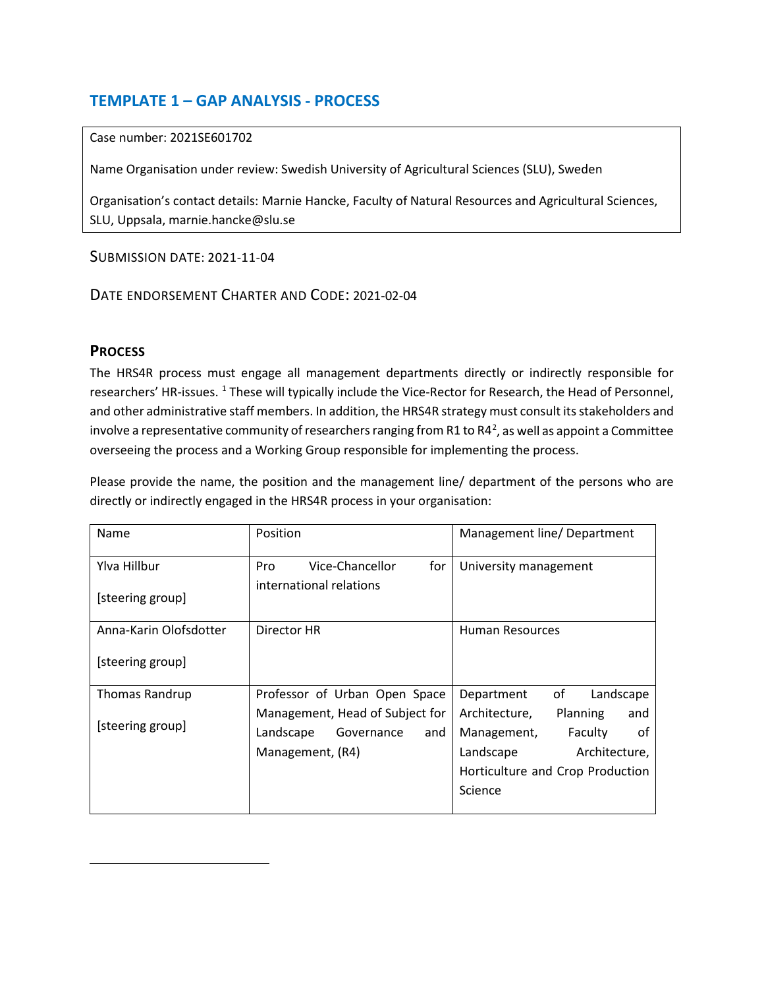## **TEMPLATE 1 – GAP ANALYSIS - PROCESS**

## Case number: 2021SE601702

Name Organisation under review: Swedish University of Agricultural Sciences (SLU), Sweden

Organisation's contact details: Marnie Hancke, Faculty of Natural Resources and Agricultural Sciences, SLU, Uppsala, marnie.hancke@slu.se

SUBMISSION DATE: 2021-11-04

DATE ENDORSEMENT CHARTER AND CODE: 2021-02-04

## **PROCESS**

<span id="page-0-1"></span><span id="page-0-0"></span>l

The HRS4R process must engage all management departments directly or indirectly responsible for researchers' HR-issues. <sup>[1](#page-0-0)</sup> These will typically include the Vice-Rector for Research, the Head of Personnel, and other administrative staff members. In addition, the HRS4R strategy must consult its stakeholders and involve a representative community of researchers ranging from R1 to R4<sup>[2](#page-0-1)</sup>, as well as appoint a Committee overseeing the process and a Working Group responsible for implementing the process.

Please provide the name, the position and the management line/ department of the persons who are directly or indirectly engaged in the HRS4R process in your organisation:

| Name                   | Position                        | Management line/Department              |
|------------------------|---------------------------------|-----------------------------------------|
| Ylva Hillbur           | Vice-Chancellor<br>for<br>Pro   | University management                   |
| [steering group]       | international relations         |                                         |
| Anna-Karin Olofsdotter | Director HR                     | Human Resources                         |
| [steering group]       |                                 |                                         |
| Thomas Randrup         | Professor of Urban Open Space   | of<br>Landscape<br>Department           |
| [steering group]       | Management, Head of Subject for | Architecture,<br><b>Planning</b><br>and |
|                        | Landscape<br>Governance<br>and  | Faculty<br>Management,<br>οf            |
|                        | Management, (R4)                | Landscape<br>Architecture,              |
|                        |                                 | Horticulture and Crop Production        |
|                        |                                 | Science                                 |
|                        |                                 |                                         |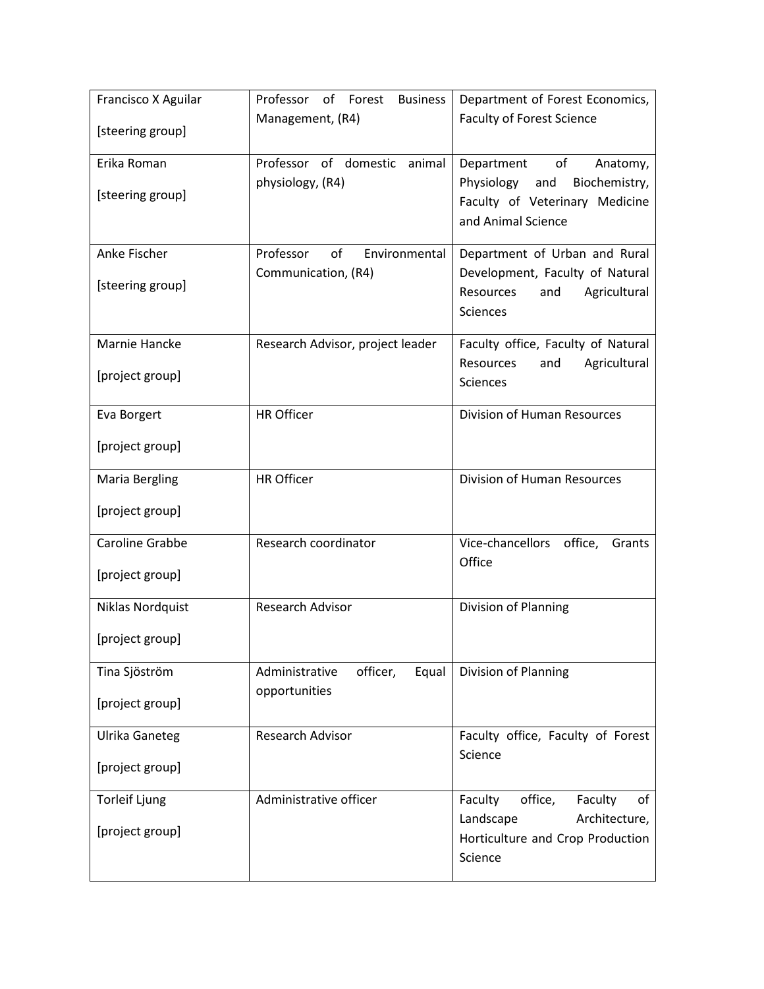| Francisco X Aguilar    | Professor<br>of<br>Forest<br><b>Business</b> | Department of Forest Economics,                                     |  |
|------------------------|----------------------------------------------|---------------------------------------------------------------------|--|
| [steering group]       | Management, (R4)                             | <b>Faculty of Forest Science</b>                                    |  |
| Erika Roman            | Professor of domestic<br>animal              | of<br>Department<br>Anatomy,                                        |  |
| [steering group]       | physiology, (R4)                             | Physiology<br>Biochemistry,<br>and                                  |  |
|                        |                                              | Faculty of Veterinary Medicine<br>and Animal Science                |  |
|                        |                                              |                                                                     |  |
| Anke Fischer           | of<br>Professor<br>Environmental             | Department of Urban and Rural                                       |  |
| [steering group]       | Communication, (R4)                          | Development, Faculty of Natural<br>Agricultural<br>Resources<br>and |  |
|                        |                                              | <b>Sciences</b>                                                     |  |
| Marnie Hancke          | Research Advisor, project leader             | Faculty office, Faculty of Natural                                  |  |
| [project group]        |                                              | Resources<br>Agricultural<br>and<br>Sciences                        |  |
|                        |                                              |                                                                     |  |
| Eva Borgert            | <b>HR Officer</b>                            | Division of Human Resources                                         |  |
| [project group]        |                                              |                                                                     |  |
| <b>Maria Bergling</b>  | <b>HR Officer</b>                            | Division of Human Resources                                         |  |
| [project group]        |                                              |                                                                     |  |
| <b>Caroline Grabbe</b> | Research coordinator                         | Vice-chancellors office,<br>Grants                                  |  |
| [project group]        |                                              | Office                                                              |  |
|                        | Research Advisor                             | Division of Planning                                                |  |
| Niklas Nordquist       |                                              |                                                                     |  |
| [project group]        |                                              |                                                                     |  |
| Tina Sjöström          | Administrative<br>officer,<br>Equal          | Division of Planning                                                |  |
| [project group]        | opportunities                                |                                                                     |  |
|                        |                                              |                                                                     |  |
| <b>Ulrika Ganeteg</b>  | Research Advisor                             | Faculty office, Faculty of Forest<br>Science                        |  |
| [project group]        |                                              |                                                                     |  |
| <b>Torleif Ljung</b>   | Administrative officer                       | Faculty<br>office,<br>Faculty<br>of                                 |  |
| [project group]        |                                              | Landscape<br>Architecture,                                          |  |
|                        |                                              | Horticulture and Crop Production<br>Science                         |  |
|                        |                                              |                                                                     |  |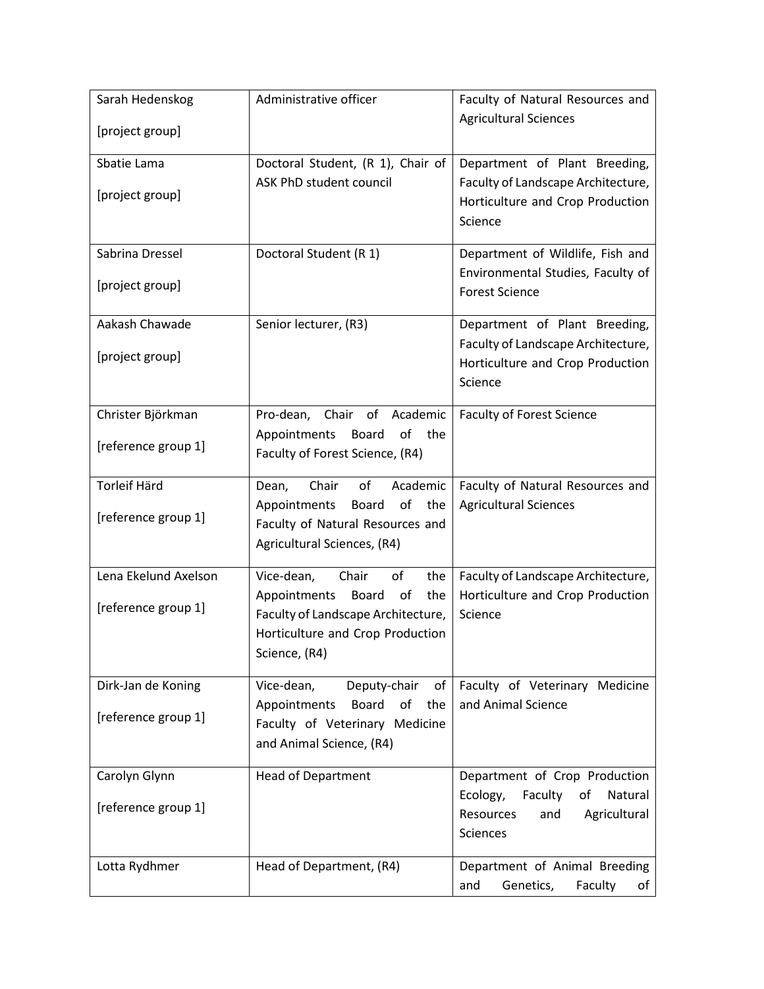| Sarah Hedenskog<br>[project group] | Administrative officer                                                                                                        | Faculty of Natural Resources and<br><b>Agricultural Sciences</b>                                                   |
|------------------------------------|-------------------------------------------------------------------------------------------------------------------------------|--------------------------------------------------------------------------------------------------------------------|
|                                    |                                                                                                                               |                                                                                                                    |
| Sbatie Lama<br>[project group]     | Doctoral Student, (R 1), Chair of<br>ASK PhD student council                                                                  | Department of Plant Breeding,<br>Faculty of Landscape Architecture,<br>Horticulture and Crop Production<br>Science |
|                                    |                                                                                                                               |                                                                                                                    |
| Sabrina Dressel                    | Doctoral Student (R 1)                                                                                                        | Department of Wildlife, Fish and                                                                                   |
| [project group]                    |                                                                                                                               | Environmental Studies, Faculty of<br><b>Forest Science</b>                                                         |
| Aakash Chawade                     | Senior lecturer, (R3)                                                                                                         | Department of Plant Breeding,                                                                                      |
| [project group]                    |                                                                                                                               | Faculty of Landscape Architecture,<br>Horticulture and Crop Production<br>Science                                  |
| Christer Björkman                  | Pro-dean, Chair<br>of<br>Academic                                                                                             | <b>Faculty of Forest Science</b>                                                                                   |
| [reference group 1]                | of<br>Appointments<br>Board<br>the<br>Faculty of Forest Science, (R4)                                                         |                                                                                                                    |
| <b>Torleif Härd</b>                | Chair<br>of<br>Academic<br>Dean,                                                                                              | Faculty of Natural Resources and                                                                                   |
| [reference group 1]                | of<br>Appointments<br>Board<br>the<br>Faculty of Natural Resources and<br>Agricultural Sciences, (R4)                         | <b>Agricultural Sciences</b>                                                                                       |
| Lena Ekelund Axelson               | Vice-dean,<br>Chair<br>of<br>the                                                                                              | Faculty of Landscape Architecture,                                                                                 |
| [reference group 1]                | Appointments<br>Board<br>of<br>the<br>Faculty of Landscape Architecture,<br>Horticulture and Crop Production<br>Science, (R4) | Horticulture and Crop Production<br>Science                                                                        |
| Dirk-Jan de Koning                 | Vice-dean,<br>Deputy-chair<br>of                                                                                              | Faculty of Veterinary Medicine                                                                                     |
| [reference group 1]                | Appointments<br><b>Board</b><br>the<br>of<br>Faculty of Veterinary Medicine<br>and Animal Science, (R4)                       | and Animal Science                                                                                                 |
| Carolyn Glynn                      | <b>Head of Department</b>                                                                                                     | Department of Crop Production                                                                                      |
| [reference group 1]                |                                                                                                                               | Ecology,<br>Faculty<br>Natural<br>οf<br>Agricultural<br>Resources<br>and<br>Sciences                               |
| Lotta Rydhmer                      | Head of Department, (R4)                                                                                                      | Department of Animal Breeding<br>Genetics,<br>and<br>Faculty<br>of                                                 |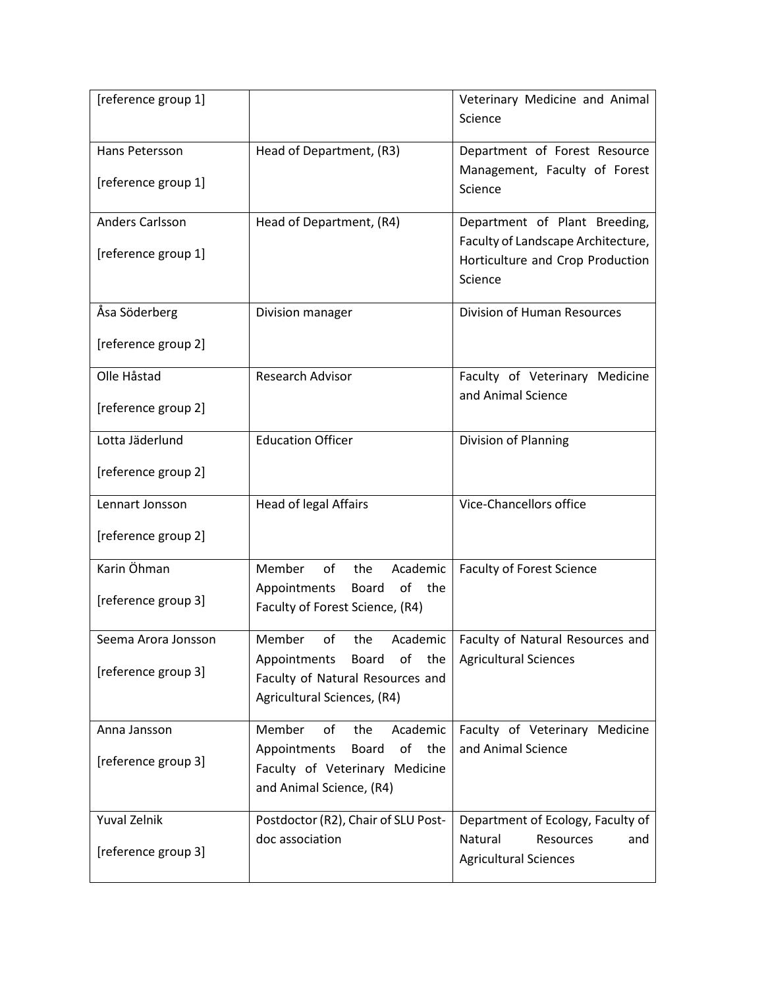| [reference group 1] |                                     | Veterinary Medicine and Animal     |
|---------------------|-------------------------------------|------------------------------------|
|                     |                                     | Science                            |
| Hans Petersson      | Head of Department, (R3)            | Department of Forest Resource      |
|                     |                                     | Management, Faculty of Forest      |
| [reference group 1] |                                     | Science                            |
|                     |                                     |                                    |
| Anders Carlsson     | Head of Department, (R4)            | Department of Plant Breeding,      |
| [reference group 1] |                                     | Faculty of Landscape Architecture, |
|                     |                                     | Horticulture and Crop Production   |
|                     |                                     | Science                            |
| Åsa Söderberg       | Division manager                    | <b>Division of Human Resources</b> |
|                     |                                     |                                    |
| [reference group 2] |                                     |                                    |
| Olle Håstad         | Research Advisor                    | Faculty of Veterinary Medicine     |
|                     |                                     | and Animal Science                 |
| [reference group 2] |                                     |                                    |
| Lotta Jäderlund     | <b>Education Officer</b>            | Division of Planning               |
| [reference group 2] |                                     |                                    |
|                     |                                     |                                    |
| Lennart Jonsson     | <b>Head of legal Affairs</b>        | Vice-Chancellors office            |
| [reference group 2] |                                     |                                    |
|                     |                                     |                                    |
| Karin Öhman         | Member<br>of<br>the<br>Academic     | <b>Faculty of Forest Science</b>   |
| [reference group 3] | of<br>Appointments<br>the<br>Board  |                                    |
|                     | Faculty of Forest Science, (R4)     |                                    |
| Seema Arora Jonsson | Member<br>of<br>the<br>Academic     | Faculty of Natural Resources and   |
|                     | Appointments<br>Board<br>of<br>the  | <b>Agricultural Sciences</b>       |
| [reference group 3] | Faculty of Natural Resources and    |                                    |
|                     | Agricultural Sciences, (R4)         |                                    |
| Anna Jansson        | Academic<br>Member<br>of<br>the     | Faculty of Veterinary Medicine     |
|                     | of<br>Appointments<br>the<br>Board  | and Animal Science                 |
| [reference group 3] | Faculty of Veterinary Medicine      |                                    |
|                     | and Animal Science, (R4)            |                                    |
| Yuval Zelnik        | Postdoctor (R2), Chair of SLU Post- | Department of Ecology, Faculty of  |
|                     | doc association                     | Natural<br>Resources<br>and        |
| [reference group 3] |                                     | <b>Agricultural Sciences</b>       |
|                     |                                     |                                    |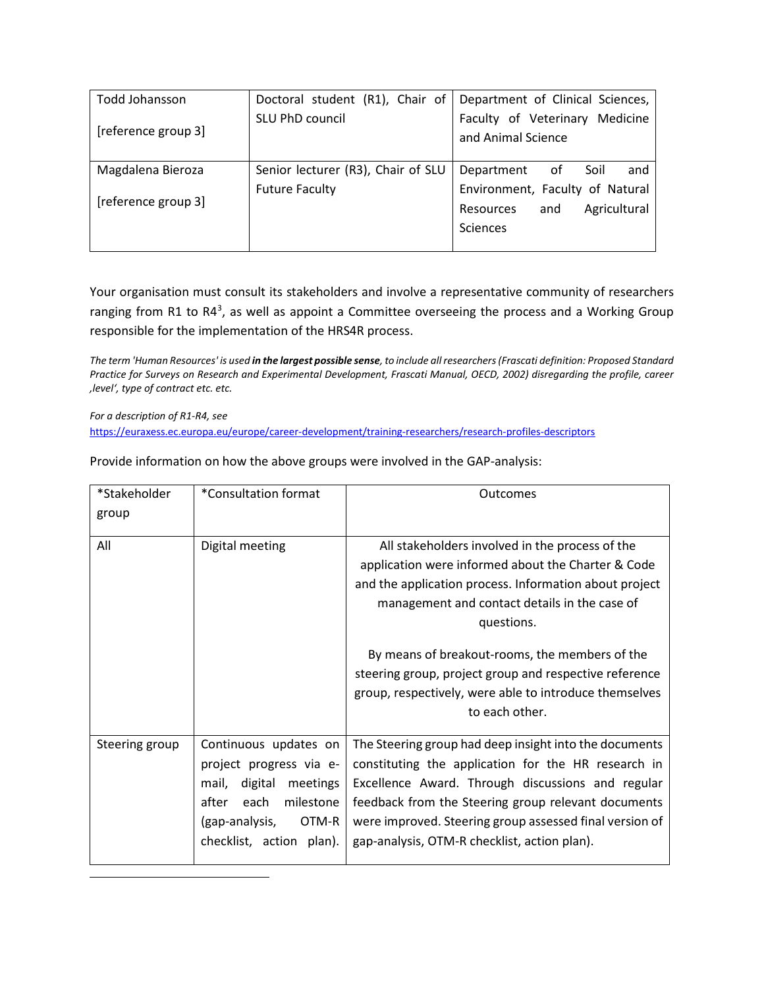| Todd Johansson      | Doctoral student (R1), Chair of    | Department of Clinical Sciences, |
|---------------------|------------------------------------|----------------------------------|
| [reference group 3] | SLU PhD council                    | Faculty of Veterinary Medicine   |
|                     |                                    | and Animal Science               |
|                     |                                    |                                  |
| Magdalena Bieroza   | Senior lecturer (R3), Chair of SLU | Department<br>of<br>Soil<br>and  |
| [reference group 3] | <b>Future Faculty</b>              | Environment, Faculty of Natural  |
|                     |                                    | Agricultural<br>Resources<br>and |
|                     |                                    | <b>Sciences</b>                  |
|                     |                                    |                                  |

Your organisation must consult its stakeholders and involve a representative community of researchers ranging from R1 to R4<sup>3</sup>, as well as appoint a Committee overseeing the process and a Working Group responsible for the implementation of the HRS4R process.

*The term 'Human Resources' is used in the largest possible sense, to include all researchers (Frascati definition: Proposed Standard Practice for Surveys on Research and Experimental Development, Frascati Manual, OECD, 2002) disregarding the profile, career 'level', type of contract etc. etc.* 

*For a description of R1-R4, see* 

<span id="page-4-0"></span>l

<https://euraxess.ec.europa.eu/europe/career-development/training-researchers/research-profiles-descriptors>

Provide information on how the above groups were involved in the GAP-analysis:

| *Stakeholder   | *Consultation format                                                                                                                                         | Outcomes                                                                                                                                                                                                                                                                                                                             |
|----------------|--------------------------------------------------------------------------------------------------------------------------------------------------------------|--------------------------------------------------------------------------------------------------------------------------------------------------------------------------------------------------------------------------------------------------------------------------------------------------------------------------------------|
| group          |                                                                                                                                                              |                                                                                                                                                                                                                                                                                                                                      |
| All            | Digital meeting                                                                                                                                              | All stakeholders involved in the process of the<br>application were informed about the Charter & Code<br>and the application process. Information about project<br>management and contact details in the case of<br>questions.                                                                                                       |
|                |                                                                                                                                                              | By means of breakout-rooms, the members of the<br>steering group, project group and respective reference<br>group, respectively, were able to introduce themselves<br>to each other.                                                                                                                                                 |
| Steering group | Continuous updates on<br>project progress via e-<br>digital meetings<br>mail,<br>each milestone<br>after<br>(gap-analysis, OTM-R<br>checklist, action plan). | The Steering group had deep insight into the documents<br>constituting the application for the HR research in<br>Excellence Award. Through discussions and regular<br>feedback from the Steering group relevant documents<br>were improved. Steering group assessed final version of<br>gap-analysis, OTM-R checklist, action plan). |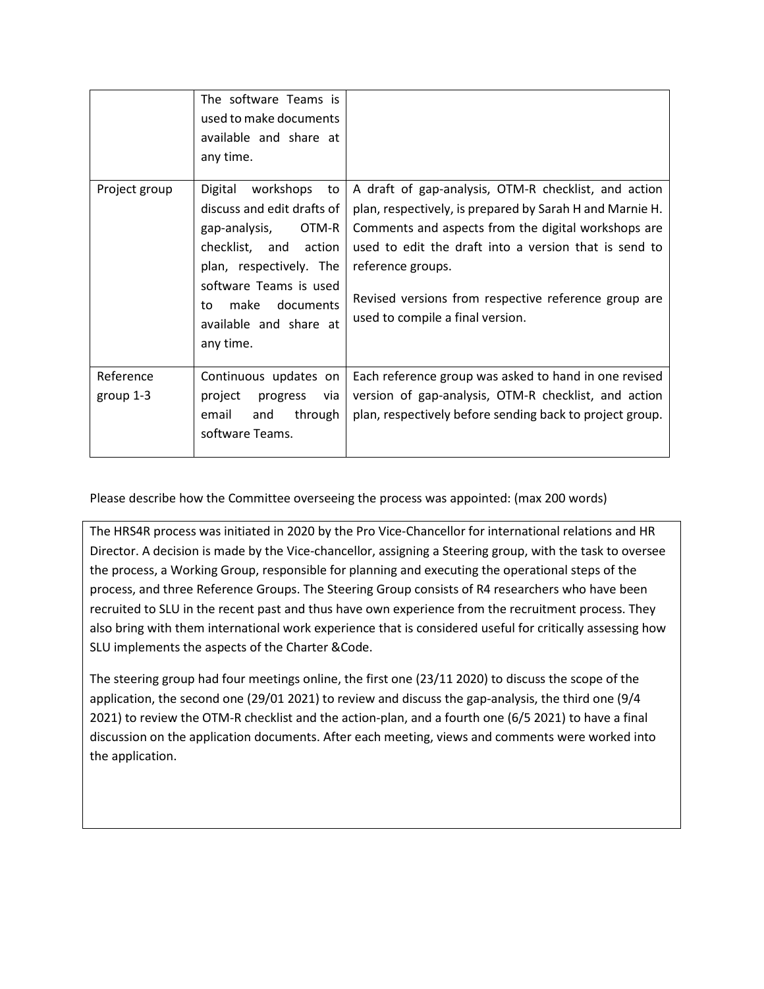| Project group            | The software Teams is<br>used to make documents<br>available and share at<br>any time.<br>Digital workshops to                                                                                 | A draft of gap-analysis, OTM-R checklist, and action                                                                                                                                                                                                                                      |
|--------------------------|------------------------------------------------------------------------------------------------------------------------------------------------------------------------------------------------|-------------------------------------------------------------------------------------------------------------------------------------------------------------------------------------------------------------------------------------------------------------------------------------------|
|                          | discuss and edit drafts of<br>gap-analysis, OTM-R<br>checklist, and action<br>plan, respectively. The<br>software Teams is used<br>make documents<br>to<br>available and share at<br>any time. | plan, respectively, is prepared by Sarah H and Marnie H.<br>Comments and aspects from the digital workshops are<br>used to edit the draft into a version that is send to<br>reference groups.<br>Revised versions from respective reference group are<br>used to compile a final version. |
| Reference<br>group $1-3$ | Continuous updates on<br>project<br>progress<br>via<br>email<br>through<br>and<br>software Teams.                                                                                              | Each reference group was asked to hand in one revised<br>version of gap-analysis, OTM-R checklist, and action<br>plan, respectively before sending back to project group.                                                                                                                 |

Please describe how the Committee overseeing the process was appointed: (max 200 words)

The HRS4R process was initiated in 2020 by the Pro Vice-Chancellor for international relations and HR Director. A decision is made by the Vice-chancellor, assigning a Steering group, with the task to oversee the process, a Working Group, responsible for planning and executing the operational steps of the process, and three Reference Groups. The Steering Group consists of R4 researchers who have been recruited to SLU in the recent past and thus have own experience from the recruitment process. They also bring with them international work experience that is considered useful for critically assessing how SLU implements the aspects of the Charter &Code.

The steering group had four meetings online, the first one (23/11 2020) to discuss the scope of the application, the second one (29/01 2021) to review and discuss the gap-analysis, the third one (9/4 2021) to review the OTM-R checklist and the action-plan, and a fourth one (6/5 2021) to have a final discussion on the application documents. After each meeting, views and comments were worked into the application.